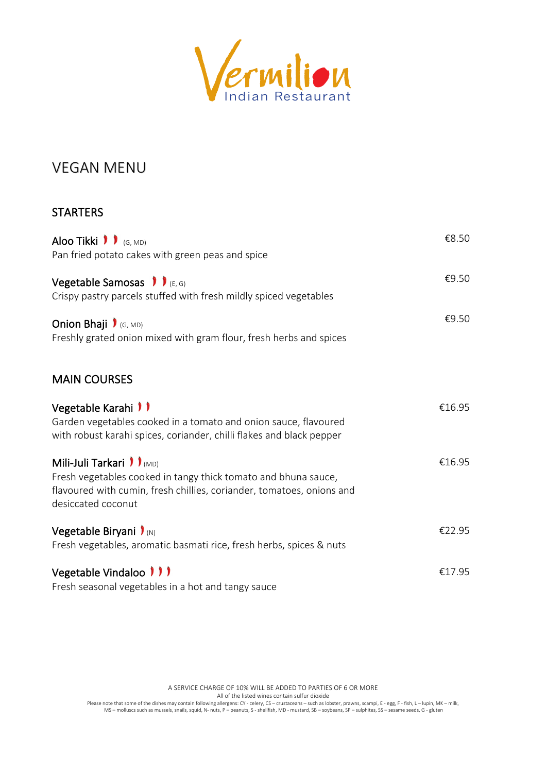

## VEGAN MENU

### **STARTERS**

| Aloo Tikki $\bullet$ $\bullet$ (G, MD)<br>Pan fried potato cakes with green peas and spice                                                                                                        | €8.50  |
|---------------------------------------------------------------------------------------------------------------------------------------------------------------------------------------------------|--------|
| Vegetable Samosas $\int_{(E,G)}$<br>Crispy pastry parcels stuffed with fresh mildly spiced vegetables                                                                                             | €9.50  |
| Onion Bhaji $\int$ (G, MD)<br>Freshly grated onion mixed with gram flour, fresh herbs and spices                                                                                                  | €9.50  |
| <b>MAIN COURSES</b>                                                                                                                                                                               |        |
| Vegetable Karahi <i>II</i><br>Garden vegetables cooked in a tomato and onion sauce, flavoured<br>with robust karahi spices, coriander, chilli flakes and black pepper                             | €16.95 |
| Mili-Juli Tarkari <i>II</i> (MD)<br>Fresh vegetables cooked in tangy thick tomato and bhuna sauce,<br>flavoured with cumin, fresh chillies, coriander, tomatoes, onions and<br>desiccated coconut | €16.95 |
| Vegetable Biryani $\mathbf{I}_{(N)}$<br>Fresh vegetables, aromatic basmati rice, fresh herbs, spices & nuts                                                                                       | €22.95 |
| Vegetable Vindaloo <i>111</i><br>Fresh seasonal vegetables in a hot and tangy sauce                                                                                                               | €17.95 |

A SERVICE CHARGE OF 10% WILL BE ADDED TO PARTIES OF 6 OR MORE

All of the listed wines contain sulfur dioxide

Please note that some of the dishes may contain following allergens: CY - celery, CS – crustaceans – such as lobster, prawns, scampi, E - egg, F - fish, L – lupin, MK – milk,<br>MS – molluscs such as mussels, snails, squid, N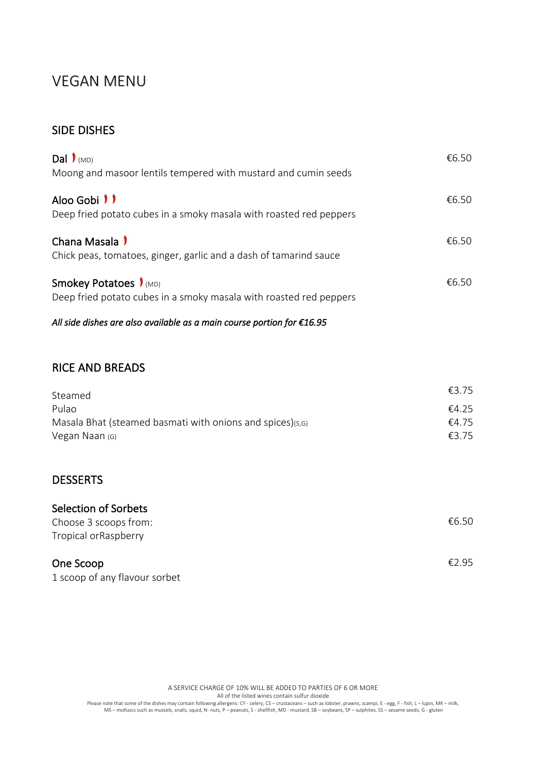# VEGAN MENU

### SIDE DISHES

| Dal $\mathbf{I}_{(MD)}$<br>Moong and masoor lentils tempered with mustard and cumin seeds                 | €6.50 |
|-----------------------------------------------------------------------------------------------------------|-------|
| Aloo Gobi <i>II</i><br>Deep fried potato cubes in a smoky masala with roasted red peppers                 | €6.50 |
| Chana Masala 1<br>Chick peas, tomatoes, ginger, garlic and a dash of tamarind sauce                       | €6.50 |
| Smokey Potatoes $\mathbf{I}_{(MD)}$<br>Deep fried potato cubes in a smoky masala with roasted red peppers | €6.50 |

*All side dishes are also available as a main course portion for €16.95* 

#### RICE AND BREADS

| Steamed                                                   | €3.75 |
|-----------------------------------------------------------|-------|
| Pulao                                                     | €4.25 |
| Masala Bhat (steamed basmati with onions and spices)(s,G) | €4.75 |
| Vegan Naan (G)                                            | €3.75 |

### **DESSERTS**

| Selection of Sorbets          |       |
|-------------------------------|-------|
| Choose 3 scoops from:         | €6.50 |
| Tropical orRaspberry          |       |
| One Scoop                     | £295  |
| 1 scoop of any flavour sorbet |       |

A SERVICE CHARGE OF 10% WILL BE ADDED TO PARTIES OF 6 OR MORE

All of the listed wines contain sulfur dioxide

Please note that some of the dishes may contain following allergens: CY - celery, CS – crustaceans – such as lobster, prawns, scampi, E - egg, F - fish, L – lupin, MK – milk,<br>MS – molluscs such as mussels, snails, squid, N